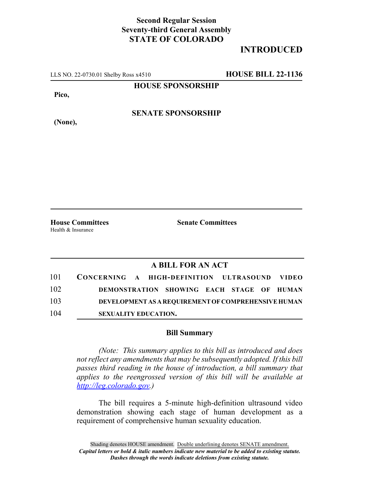## **Second Regular Session Seventy-third General Assembly STATE OF COLORADO**

## **INTRODUCED**

LLS NO. 22-0730.01 Shelby Ross x4510 **HOUSE BILL 22-1136**

**HOUSE SPONSORSHIP**

**Pico,**

**(None),**

**SENATE SPONSORSHIP**

**House Committees Senate Committees** Health & Insurance

## **A BILL FOR AN ACT**

| 101 | CONCERNING A HIGH-DEFINITION ULTRASOUND VIDEO |  |                                                            |  |  |
|-----|-----------------------------------------------|--|------------------------------------------------------------|--|--|
| 102 |                                               |  | DEMONSTRATION SHOWING EACH STAGE OF HUMAN                  |  |  |
| 103 |                                               |  | <b>DEVELOPMENT AS A REOUIREMENT OF COMPREHENSIVE HUMAN</b> |  |  |
| 104 | <b>SEXUALITY EDUCATION.</b>                   |  |                                                            |  |  |

## **Bill Summary**

*(Note: This summary applies to this bill as introduced and does not reflect any amendments that may be subsequently adopted. If this bill passes third reading in the house of introduction, a bill summary that applies to the reengrossed version of this bill will be available at http://leg.colorado.gov.)*

The bill requires a 5-minute high-definition ultrasound video demonstration showing each stage of human development as a requirement of comprehensive human sexuality education.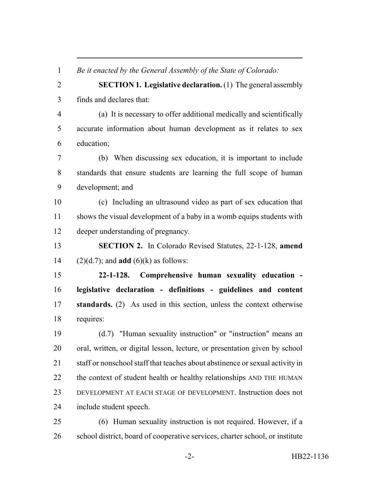*Be it enacted by the General Assembly of the State of Colorado:*

 **SECTION 1. Legislative declaration.** (1) The general assembly finds and declares that:

 (a) It is necessary to offer additional medically and scientifically accurate information about human development as it relates to sex education;

 (b) When discussing sex education, it is important to include standards that ensure students are learning the full scope of human development; and

 (c) Including an ultrasound video as part of sex education that shows the visual development of a baby in a womb equips students with deeper understanding of pregnancy.

 **SECTION 2.** In Colorado Revised Statutes, 22-1-128, **amend** (2)(d.7); and **add** (6)(k) as follows:

 **22-1-128. Comprehensive human sexuality education - legislative declaration - definitions - guidelines and content standards.** (2) As used in this section, unless the context otherwise requires:

 (d.7) "Human sexuality instruction" or "instruction" means an oral, written, or digital lesson, lecture, or presentation given by school staff or nonschool staff that teaches about abstinence or sexual activity in 22 the context of student health or healthy relationships AND THE HUMAN DEVELOPMENT AT EACH STAGE OF DEVELOPMENT. Instruction does not include student speech.

 (6) Human sexuality instruction is not required. However, if a school district, board of cooperative services, charter school, or institute